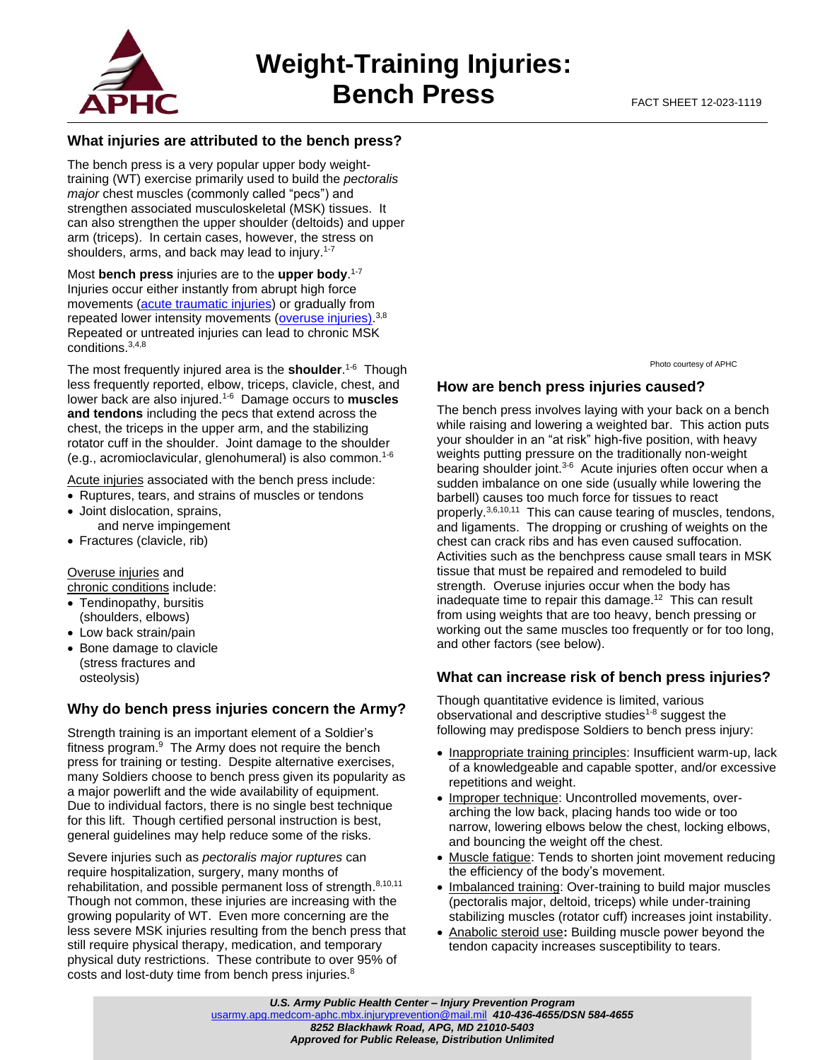

# **What injuries are attributed to the bench press?**

The bench press is a very popular upper body weighttraining (WT) exercise primarily used to build the *pectoralis major* chest muscles (commonly called "pecs") and strengthen associated musculoskeletal (MSK) tissues. It can also strengthen the upper shoulder (deltoids) and upper arm (triceps). In certain cases, however, the stress on shoulders, arms, and back may lead to injury.<sup>1-7</sup>

Most **bench press** injuries are to the **upper body**. 1-7 Injuries occur either instantly from abrupt high force movements [\(acute traumatic injuries\)](https://phc.amedd.army.mil/PHC%20Resource%20Library/MSKInjuries_FS_12-011-0417.pdf) or gradually from repeated lower intensity movements [\(overuse injuries\)](https://phc.amedd.army.mil/PHC%20Resource%20Library/MSKInjuries_FS_12-011-0417.pdf).<sup>3,8</sup> Repeated or untreated injuries can lead to chronic MSK conditions.3,4,8

The most frequently injured area is the **shoulder**. 1-6 Though less frequently reported, elbow, triceps, clavicle, chest, and lower back are also injured.1-6 Damage occurs to **muscles and tendons** including the pecs that extend across the chest, the triceps in the upper arm, and the stabilizing rotator cuff in the shoulder. Joint damage to the shoulder (e.g., acromioclavicular, glenohumeral) is also common.1-6

Acute injuries associated with the bench press include:

- Ruptures, tears, and strains of muscles or tendons
- Joint dislocation, sprains, and nerve impingement
- Fractures (clavicle, rib)

Overuse injuries and

chronic conditions include:

- Tendinopathy, bursitis (shoulders, elbows)
- Low back strain/pain
- Bone damage to clavicle (stress fractures and osteolysis)

# **Why do bench press injuries concern the Army?**

Strength training is an important element of a Soldier's fitness program.<sup>9</sup> The Army does not require the bench press for training or testing. Despite alternative exercises, many Soldiers choose to bench press given its popularity as a major powerlift and the wide availability of equipment. Due to individual factors, there is no single best technique for this lift. Though certified personal instruction is best. general guidelines may help reduce some of the risks.

Severe injuries such as *pectoralis major ruptures* can require hospitalization, surgery, many months of rehabilitation, and possible permanent loss of strength.<sup>8,10,11</sup> Though not common, these injuries are increasing with the growing popularity of WT. Even more concerning are the less severe MSK injuries resulting from the bench press that still require physical therapy, medication, and temporary physical duty restrictions. These contribute to over 95% of costs and lost-duty time from bench press injuries.<sup>8</sup>

Photo courtesy of APHC

### **How are bench press injuries caused?**

The bench press involves laying with your back on a bench while raising and lowering a weighted bar. This action puts your shoulder in an "at risk" high-five position, with heavy weights putting pressure on the traditionally non-weight bearing shoulder joint.<sup>3-6</sup> Acute injuries often occur when a sudden imbalance on one side (usually while lowering the barbell) causes too much force for tissues to react properly.<sup>3,6,10,11</sup> This can cause tearing of muscles, tendons, and ligaments. The dropping or crushing of weights on the chest can crack ribs and has even caused suffocation. Activities such as the benchpress cause small tears in MSK tissue that must be repaired and remodeled to build strength. Overuse injuries occur when the body has inadequate time to repair this damage.<sup>12</sup> This can result from using weights that are too heavy, bench pressing or working out the same muscles too frequently or for too long, and other factors (see below).

### **What can increase risk of bench press injuries?**

Though quantitative evidence is limited, various observational and descriptive studies<sup>1-8</sup> suggest the following may predispose Soldiers to bench press injury:

- Inappropriate training principles: Insufficient warm-up, lack of a knowledgeable and capable spotter, and/or excessive repetitions and weight.
- Improper technique: Uncontrolled movements, overarching the low back, placing hands too wide or too narrow, lowering elbows below the chest, locking elbows, and bouncing the weight off the chest.
- Muscle fatigue: Tends to shorten joint movement reducing the efficiency of the body's movement.
- Imbalanced training: Over-training to build major muscles (pectoralis major, deltoid, triceps) while under-training stabilizing muscles (rotator cuff) increases joint instability.
- Anabolic steroid use**:** Building muscle power beyond the tendon capacity increases susceptibility to tears.

*U.S. Army Public Health Center – Injury Prevention Program*

[usarmy.apg.medcom-aphc.mbx.injuryprevention@mail.mil](mailto:usarmy.apg.medcom-aphc.mbx.injuryprevention@mail.mil) *410-436-4655/DSN 584-4655 8252 Blackhawk Road, APG, MD 21010-5403*

*Approved for Public Release, Distribution Unlimited*